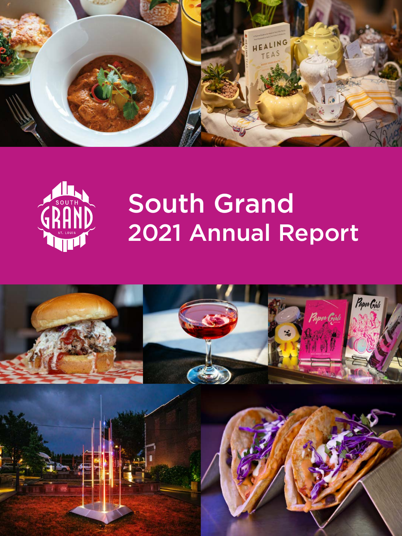



# South Grand 2021 Annual Report

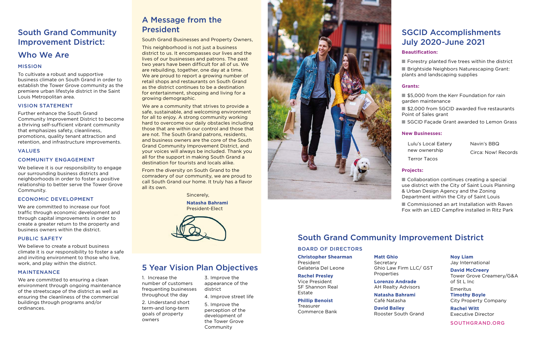# South Grand Community Improvement District:

# Who We Are

#### MISSION

To cultivate a robust and supportive business climate on South Grand in order to establish the Tower Grove community as the premiere urban lifestyle district in the Saint Louis Metropolitan area.

#### VISION STATEMENT

Further enhance the South Grand Community Improvement District to become a thriving self-sufficient vibrant community that emphasizes safety, cleanliness, promotions, quality tenant attraction and retention, and infrastructure improvements.

#### VALUES

#### COMMUNITY ENGAGEMENT

We believe it is our responsibility to engage our surrounding business districts and neighborhoods in order to foster a positive relationship to better serve the Tower Grove Community.

#### ECONOMIC DEVELOPMENT

We are committed to increase our foot traffic through economic development and through capital improvements in order to create a greater return to the property and business owners within the district.

#### PUBLIC SAFETY

We believe to create a robust business climate it is our responsibility to foster a safe and inviting environment to those who live, work, and play within the district.

#### MAINTENANCE

We are committed to ensuring a clean environment through ongoing maintenance of the streetscape of the district as well as ensuring the cleanliness of the commercial buildings through programs and/or ordinances.

# A Message from the President

South Grand Businesses and Property Owners,

This neighborhood is not just a business district to us. It encompasses our lives and the lives of our businesses and patrons. The past two years have been difficult for all of us. We are rebuilding, together, one day at a time. We are proud to report a growing number of retail shops and restaurants on South Grand as the district continues to be a destination for entertainment, shopping and living for a growing demographic.

We are a community that strives to provide a safe, sustainable, and welcoming environment for all to enjoy. A strong community working hard to overcome our daily obstacles including those that are within our control and those that are not. The South Grand patrons, residents, and business owners are the core of the South Grand Community Improvement District, and your voices will always be included. Thank you all for the support in making South Grand a destination for tourists and locals alike.

From the diversity on South Grand to the comradery of our community, we are proud to call South Grand our home. It truly has a flavor all its own.

Sincerely,

**Natasha Bahrami** President-Elect



# 5 Year Vision Plan Objectives

1. Increase the number of customers frequenting businesses throughout the day

2. Understand short term-and long-term goals of property owners

3. Improve the appearance of the district

4. Improve street life 5. Improve the

perception of the development of the Tower Grove Community



# SGCID Accomplishments July 2020-June 2021

#### **Beautification:**

 $\blacksquare$  Forestry planted five trees within the district

■ Brightside Neighbors Naturescaping Grant: plants and landscaping supplies

#### **Grants:**

■ \$5,000 from the Kerr Foundation for rain garden maintenance

■ \$2,000 from SGCID awarded five restaurants Point of Sales grant

■ SGCID Facade Grant awarded to Lemon Grass

#### **New Businesses:**

Lulu's Local Eatery new ownership Terror Tacos

Navin's BBQ Circa: Now! Records

#### **Projects:**

■ Collaboration continues creating a special use district with the City of Saint Louis Planning & Urban Design Agency and the Zoning Department within the City of Saint Louis

■ Commissioned an art Installation with Raven Fox with an LED Campfire installed in Ritz Park

# South Grand Community Improvement District

#### BOARD OF DIRECTORS

#### **Christopher Shearman**

President Gelateria Del Leone

#### **Rachel Presley** Vice President

SF Shannon Real Estate

#### **Phillip Benoist** Treasurer

Commerce Bank

#### **Matt Ghio** Secretary Ghio Law Firm LLC/ GST

Properties **Lorenzo Andrade**

AH Realty Advisors **Natasha Bahrami**

Café Natasha

#### **David Bailey** Rooster South Grand

#### **Noy Liam**

Jay International

## **David McCreery**

Tower Grove Creamery/G&A of St L Inc

Emeritus **Timothy Boyle** City Property Company

**Rachel Witt** Executive Director

SOUTHGRAND.ORG